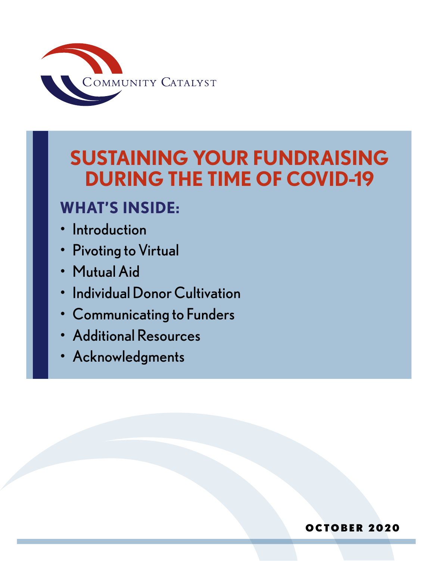

# **SUSTAINING YOUR FUNDRAISING DURING THE TIME OF COVID-19**

# **WHAT'S INSIDE:**

- **Introduction**
- **Pivoting to Virtual**
- Mutual Aid
- Individual Donor Cultivation
- Communicating to Funders
- Additional Resources
- Acknowledgments

#### OCTOBER 2020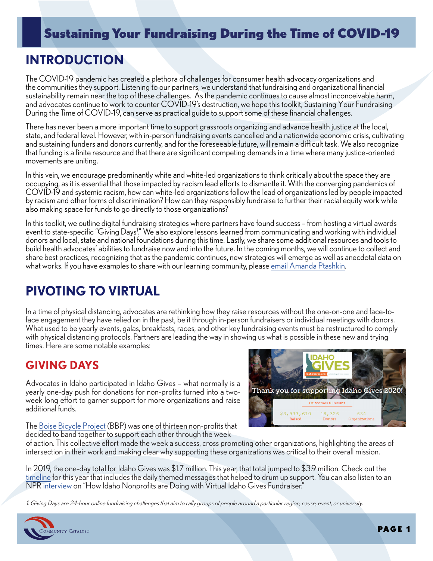# **INTRODUCTION**

The COVID-19 pandemic has created a plethora of challenges for consumer health advocacy organizations and the communities they support. Listening to our partners, we understand that fundraising and organizational financial sustainability remain near the top of these challenges. As the pandemic continues to cause almost inconceivable harm, and advocates continue to work to counter COVID-19's destruction, we hope this toolkit, Sustaining Your Fundraising During the Time of COVID-19, can serve as practical guide to support some of these financial challenges.

There has never been a more important time to support grassroots organizing and advance health justice at the local, state, and federal level. However, with in-person fundraising events cancelled and a nationwide economic crisis, cultivating and sustaining funders and donors currently, and for the foreseeable future, will remain a difficult task. We also recognize that funding is a finite resource and that there are significant competing demands in a time where many justice-oriented movements are uniting.

In this vein, we encourage predominantly white and white-led organizations to think critically about the space they are occupying, as it is essential that those impacted by racism lead efforts to dismantle it. With the converging pandemics of COVID-19 and systemic racism, how can white-led organizations follow the lead of organizations led by people impacted by racism and other forms of discrimination? How can they responsibly fundraise to further their racial equity work while also making space for funds to go directly to those organizations?

In this toolkit, we outline digital fundraising strategies where partners have found success – from hosting a virtual awards event to state-specific "Giving Days!" We also explore lessons learned from communicating and working with individual donors and local, state and national foundations during this time. Lastly, we share some additional resources and tools to build health advocates' abilities to fundraise now and into the future. In the coming months, we will continue to collect and share best practices, recognizing that as the pandemic continues, new strategies will emerge as well as anecdotal data on what works. If you have examples to share with our learning community, please [email Amanda Ptashkin.](mailto:aptashkin%40communitycatalyst.org?subject=)

# **PIVOTING TO VIRTUAL**

In a time of physical distancing, advocates are rethinking how they raise resources without the one-on-one and face-toface engagement they have relied on in the past, be it through in-person fundraisers or individual meetings with donors. What used to be yearly events, galas, breakfasts, races, and other key fundraising events must be restructured to comply with physical distancing protocols. Partners are leading the way in showing us what is possible in these new and trying times. Here are some notable examples:

#### **GIVING DAYS**

Advocates in Idaho participated in Idaho Gives – what normally is a yearly one-day push for donations for non-profits turned into a twoweek long effort to garner support for more organizations and raise additional funds.



The [Boise Bicycle Project](https://www.boisebicycleproject.org/) (BBP) was one of thirteen non-profits that decided to band together to support each other through the week

of action. This collective effort made the week a success, cross promoting other organizations, highlighting the areas of intersection in their work and making clear why supporting these organizations was critical to their overall mission.

In 2019, the one-day total for Idaho Gives was \$1.7 million. This year, that total jumped to \$3.9 million. Check out the [timeline](https://www.idahogives.org/info/timline) for this year that includes the daily themed messages that helped to drum up support. You can also listen to an NPR [interview](https://www.boisestatepublicradio.org/post/heres-how-idaho-nonprofits-are-doing-virtual-idaho-gives-fundraiser#stream/0) on "How Idaho Nonprofits are Doing with Virtual Idaho Gives Fundraiser."

1. Giving Days are 24-hour online fundraising challenges that aim to rally groups of people around a particular region, cause, event, or university.

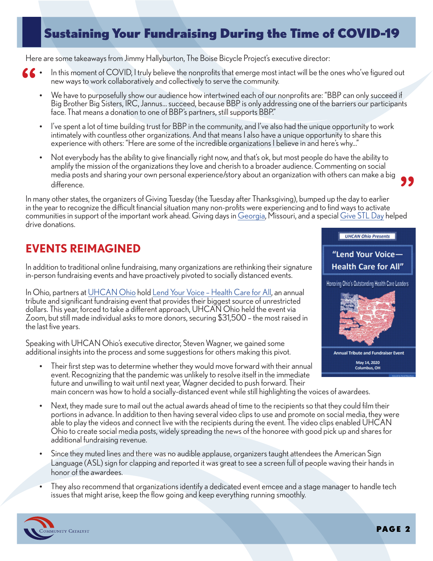Here are some takeaways from Jimmy Hallyburton, The Boise Bicycle Project's executive director:

- In this moment of COVID, I truly believe the nonprofits that emerge most intact will be the ones who've figured out new ways to work collaboratively and collectively to serve the community. **"**
	- We have to purposefully show our audience how intertwined each of our nonprofits are: "BBP can only succeed if Big Brother Big Sisters, IRC, Jannus... succeed, because BBP is only addressing one of the barriers our participants face. That means a donation to one of BBP's partners, still supports BBP."
	- I've spent a lot of time building trust for BBP in the community, and I've also had the unique opportunity to work intimately with countless other organizations. And that means I also have a unique opportunity to share this experience with others: "Here are some of the incredible organizations I believe in and here's why..."
	- Not everybody has the ability to give financially right now, and that's ok, but most people do have the ability to amplify the mission of the organizations they love and cherish to a broader audience. Commenting on social media posts and sharing your own personal experience/story about an organization with others can make a big difference.

In many other states, the organizers of Giving Tuesday (the Tuesday after Thanksgiving), bumped up the day to earlier in the year to recognize the difficult financial situation many non-profits were experiencing and to find ways to activate communities in support of the important work ahead. Giving days in [Georgia,](https://www.mdjonline.com/neighbor_newspapers/a-second-georgia-gives-day-has-been-added-to-aid-nonprofits-nailed-by-covid-19/article_62a0dce6-8577-11ea-bddf-e3acb929a577.html) Missouri, and a special [Give STL Day](https://www.givestlday.org/index.php) helped drive donations. **"**

### **EVENTS REIMAGINED**

In addition to traditional online fundraising, many organizations are rethinking their signature in-person fundraising events and have proactively pivoted to socially distanced events.

In Ohio, partners at [UHCAN Ohio](https://uhcanohio.org/) hold [Lend Your Voice – Health Care for All,](http://uhcanohio.org/2020eventfinal/) an annual tribute and significant fundraising event that provides their biggest source of unrestricted dollars. This year, forced to take a different approach, UHCAN Ohio held the event via Zoom, but still made individual asks to more donors, securing \$31,500 – the most raised in the last five years.

Speaking with UHCAN Ohio's executive director, Steven Wagner, we gained some additional insights into the process and some suggestions for others making this pivot.

- Their first step was to determine whether they would move forward with their annual event. Recognizing that the pandemic was unlikely to resolve itself in the immediate future and unwilling to wait until next year, Wagner decided to push forward. Their main concern was how to hold a socially-distanced event while still highlighting the voices of awardees.
- Next, they made sure to mail out the actual awards ahead of time to the recipients so that they could film their portions in advance. In addition to then having several video clips to use and promote on social media, they were able to play the videos and connect live with the recipients during the event. The video clips enabled UHCAN Ohio to create social media posts, widely spreading the news of the honoree with good pick up and shares for additional fundraising revenue.
- Since they muted lines and there was no audible applause, organizers taught attendees the American Sign Language (ASL) sign for clapping and reported it was great to see a screen full of people waving their hands in honor of the awardees.
- They also recommend that organizations identify a dedicated event emcee and a stage manager to handle tech issues that might arise, keep the flow going and keep everything running smoothly.





**UHCAN Ohio Presents** 

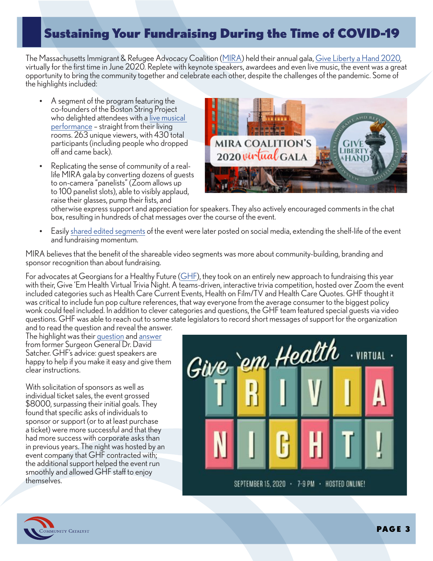The Massachusetts Immigrant & Refugee Advocacy Coalition [\(MIRA\)](https://www.miracoalition.org/) held their annual gala, [Give Liberty a Hand 2020,](https://www.youtube.com/watch?v=VT2Rf0_P4kw&list=PLOsv_Ro9vt72u1csBNuxb--Kbrvnj2a_Q&index=5&t=0s)<br>virtually for the first time in June 2020. Replete with keynote sp[eakers](https://www.miracoalition.org/), awardees and even live music, the opportunity to bring the community together and celebrate each other, despite the challenges of the pandemic. Some of the highlights included:

- A segment of the program featuring the co-founders of the Boston String Project who delighted attendees with a [live musical](https://www.facebook.com/MIRACoalition/videos/697793677457958/) [performance](https://www.facebook.com/MIRACoalition/videos/697793677457958/) – straight from their living rooms. 263 unique viewers, with 430 total participants (including people who dropped off and came back).
- Replicating the sense of community of a reallife MIRA gala by converting dozens of guests to on-camera "panelists" (Zoom allows up to 100 panelist slots), able to visibly applaud, raise their glasses, pump their fists, and



otherwise express support and appreciation for speakers. They also actively encouraged comments in the chat box, resulting in hundreds of chat messages over the course of the event.

• Easily [shared edited segments](https://www.facebook.com/watch/MIRACoalition/2483934651919105/) of the event were later posted on social media, extending the shelf-life of the event and fundraising momentum.

MIRA believes that the benefit of the shareable video segments was more about community-building, branding and sponsor recognition than about fundraising.

For advocates at Georgians for a Healthy Future [\(GHF\)](http://healthyfuturega.org/), they took on an entirely new approach to fundraising this year with their, Give 'Em Health Virtual Trivia Night. A teams-driven, interactive trivia competition, hosted over Zoom the event included categories such as Health Care Current Events, Health on Film/TV and Health Care Quotes. GHF thought it was critical to include fun pop culture references, that way everyone from the average consumer to the biggest policy wonk could feel included. In addition to clever categories and questions, the GHF team featured special guests via video questions. GHF was able to reach out to some state legislators to record short messages of support for the organization and to read the question and reveal the answer.

The highlight was their [question](https://vimeo.com/470268351/fbbdd297b0) and [answer](https://vimeo.com/470268425/3b549d1ea3) from former Surgeon General Dr. David Satcher. GHF's advice: guest speakers are happy to help if you make it easy and give them clear instructions.

With solicitation of sponsors as well as individual ticket sales, the event grossed \$8000, surpassing their initial goals. They found that specific asks of individuals to sponsor or support (or to at least purchase a ticket) were more successful and that they had more success with corporate asks than in previous years. The night was hosted by an event company that GHF contracted with; the additional support helped the event run smoothly and allowed GHF staff to enjoy themselves.



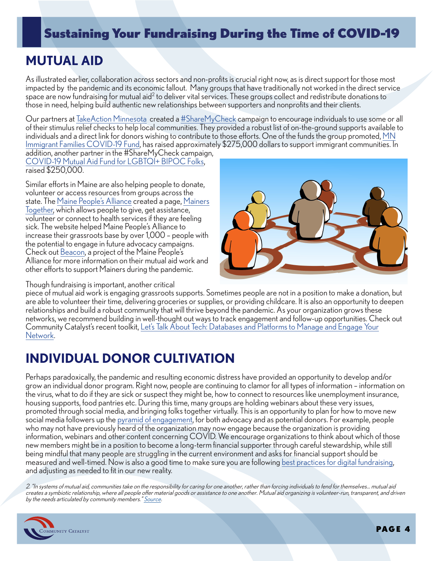### **MUTUAL AID**

As illustrated earlier, collaboration across sectors and non-profits is crucial right now, as is direct support for those most impacted by the pandemic and its economic fallout. Many groups that have traditionally not worked in the direct service space are now fundraising for mutual aid<sup>2</sup> to deliver vital services. These groups collect and redistribute donations to those in need, helping build authentic new relationships between supporters and nonprofits and their clients.

Our partners at [TakeAction Minnesota](https://takeactionminnesota.org/) created a [#ShareMyCheck](https://takeactionminnesota.org/sharemycheck/) campaign to encourage individuals to use some or all of their stimulus relief checks to help local communities. They provided a robust list of on-the-ground supports available to individuals and a direct link for donors wishing to contribute to those efforts. One of the funds the group promoted, [MN](https://www.gofundme.com/f/mn-immigrant-families-covid19-fund)  [Immigrant Families COVID-19 Fund](https://www.gofundme.com/f/mn-immigrant-families-covid19-fund), has raised approximately \$275,000 dollars to support immigrant communities. In addition, another partner in the #ShareMyCheck campaign,

COVID-1[9 Mutual Aid Fund for LGBTQI+ BIPOC Folks](https://es.gofundme.com/f/covid19-relief-fund-for-lgbtqi-bipoc-folks), raised \$250,000.

Similar efforts in Maine are also helping people to donate, volunteer or access resources from groups across the [state. The M](https://www.mainepeoplesalliance.org/civicrm/contribute/transact?reset=1&id=86)[aine People's Allianc](https://www.mainepeoplesalliance.org/)[e created a page, Mainers](https://www.mainepeoplesalliance.org/civicrm/contribute/transact?reset=1&id=86) Together, which allows people to give, get assistance, volunteer or connect to health services if they are feeling sick. The website helped Maine People's Alliance to increase their grassroots base by over 1,000 – people with the potential to engage in future advocacy campaigns. Check out [Beacon,](https://mainebeacon.com/) a project of the Maine People's Alliance for more information on their mutual aid work and other efforts to support Mainers during the pandemic.

Though fundraising is important, another critical



piece of mutual aid work is engaging grassroots supports. Sometimes people are not in a position to make a donation, but are able to volunteer their time, delivering groceries or supplies, or providing childcare. It is also an opportunity to deepen relationships and build a robust community that will thrive beyond the pandemic. As your organization grows these networks, we recommend building in well-thought out ways to track engagement and follow-up opportunities. Check out Community Catalyst's recent toolkit, Let's Talk About Tech: Databases and Platforms to Manage and Engage Your Network.

# **[INDIVIDUAL D](https://www.communitycatalyst.org/resources/2020-tools/Advocacy-Guide-Databases-FINAL.pdf)ONOR CULTIVATION**

Perhaps paradoxically, the pandemic and resulting economic distress have provided an opportunity to develop and/or grow an individual donor program. Right now, people are continuing to clamor for all types of information – information on the virus, what to do if they are sick or suspect they might be, how to connect to resources like unemployment insurance, housing supports, food pantries etc. During this time, many groups are holding webinars about these very issues, promoted through social media, and bringing folks together virtually. This is an opportunity to plan for how to move new social media followers up the [pyramid of engagement](https://www.communitycatalyst.org/resources/tools/grassroots/the-pyramid-of-engagement), for both advocacy and as potential donors. For example, people who may not have previously heard of the organization may now engage because the organization is providing information, webinars and other content concerning COVID. We encourage organizations to think about which of those new members might be in a position to become a long-term financial supporter through careful stewardship, while still being mindful that many people are struggling in the current environment and asks for financial support should be measured and well-timed. Now is also a good time to make sure you are following [best practices for digital fundraising,](https://www.nptechforgood.com/2020/06/23/10-online-fundraising-best-practices-for-nonprofits-3/) and adjusting as needed to fit in our new reality.

2. "In systems of mutual aid, communities take on the responsibility for caring for one another, rather than forcing individuals to fend for themselves... mutual aid creates a symbiotic relationship, where all people offer material goods or assistance to one another. Mutual aid organizing is volunteer-run, transparent, and driven by the needs articulated by community members.[" Source](https://www.vice.com/en_us/article/y3mkjv/what-is-mutual-aid-and-how-can-it-help-with-coronavirus).

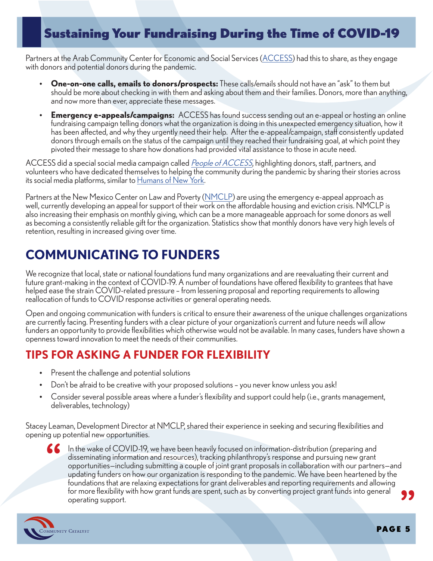Partners at the Arab Community Center for Economic and Social Services [\(ACCESS\)](https://www.accesscommunity.org/) had this to share, as they engage with donors and potential donors during the pandemic.

- **One-on-one calls, emails to donors/prospects:** These calls/emails should not have an "ask" to them but should be more about checking in with them and asking about them and their families. Donors, more than anything, and now more than ever, appreciate these messages.
- **Emergency e-appeals/campaigns:** ACCESS has found success sending out an e-appeal or hosting an online fundraising campaign telling donors what the organization is doing in this unexpected emergency situation, how it has been affected, and why they urgently need their help. After the e-appeal/campaign, staff consistently updated donors through emails on the status of the campaign until they reached their fundraising goal, at which point they pivoted their message to share how donations had provided vital assistance to those in acute need.

ACCESS did a special social media campaign called *[People of ACCESS](https://www.facebook.com/search/str/%23peopleofaccess/keywords_blended_posts?f=AbqTbkp8uNekomEiw6AvQxYdEAODLlW6WcHrvA0zqhq0DBCzRbHbGK3axwheD6S6e37xaEpWbvDJK2fJMhz3vYH8Vt4jLdgMDF_45pxJKm4hxnfln5h_SzYu_4v5XlcnFSM2dM5TbUr-mBNJ1dvel6F2&filters=eyJycF9hdXRob3IiOiJ7XCJuYW1lXCI6XCJtZXJnZWRfcHVibGljX3Bvc3RzXCIsXCJhcmdzXCI6XCJcIn0ifQ%3D%3D&epa=SEE_MORE)*, highlighting donors, staff, partners, and volunteers who have dedicated themselves to helping the community during the pandemic by sharing their stories across its social media platforms, similar to [Humans of New York.](https://www.humansofnewyork.com/)

Partners at the New Mexico Center on Law and Poverty ([NMCLP\)](http://www.nmpovertylaw.org/) are using the emergency e-appeal approach as well, currently developing an appeal for support of their work on the affordable housing and eviction crisis. NMCLP is also increasing their emphasis on monthly giving, which can be a more manageable approach for some donors as well as becoming a consistently reliable gift for the organization. Statistics show that monthly donors have very high levels of retention, resulting in increased giving over time.

# **COMMUNICATING TO FUNDERS**

We recognize that local, state or national foundations fund many organizations and are reevaluating their current and future grant-making in the context of COVID-19. A number of foundations have offered flexibility to grantees that have helped ease the strain COVID-related pressure – from lessening proposal and reporting requirements to allowing reallocation of funds to COVID response activities or general operating needs.

Open and ongoing communication with funders is critical to ensure their awareness of the unique challenges organizations are currently facing. Presenting funders with a clear picture of your organization's current and future needs will allow funders an opportunity to provide flexibilities which otherwise would not be available. In many cases, funders have shown a openness toward innovation to meet the needs of their communities.

### **TIPS FOR ASKING A FUNDER FOR FLEXIBILITY**

- Present the challenge and potential solutions
- Don't be afraid to be creative with your proposed solutions you never know unless you ask!
- Consider several possible areas where a funder's flexibility and support could help (i.e., grants management, deliverables, technology)

Stacey Leaman, Development Director at NMCLP, shared their experience in seeking and securing flexibilities and opening up potential new opportunities.

In the wake of COVID-19, we have been heavily focused on information-distribution (preparing and disseminating information and resources), tracking philanthropy's response and pursuing new grant opportunities—including sub disseminating information and resources), tracking philanthropy's response and pursuing new grant opportunities—including submitting a couple of joint grant proposals in collaboration with our partners—and updating funders on how our organization is responding to the pandemic. We have been heartened by the foundations that are relaxing expectations for grant deliverables and reporting requirements and allowing for more flexibility with how grant funds are spent, such as by converting project grant funds into general operating support. **"**



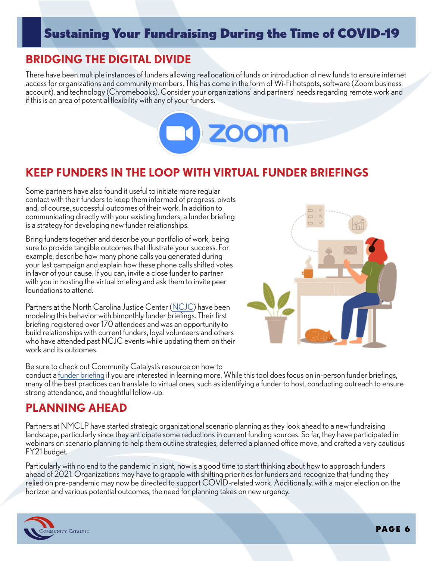### **BRIDGING THE DIGITAL DIVIDE**

There have been multiple instances of funders allowing reallocation of funds or introduction of new funds to ensure internet access for organizations and community members. This has come in the form of Wi-Fi hotspots, software (Zoom business account), and technology (Chromebooks). Consider your organizations' and partners' needs regarding remote work and if this is an area of potential flexibility with any of your funders.



#### **KEEP FUNDERS IN THE LOOP WITH VIRTUAL FUNDER BRIEFINGS**

Some partners have also found it useful to initiate more regular contact with their funders to keep them informed of progress, pivots and, of course, successful outcomes of their work. In addition to communicating directly with your existing funders, a funder briefing is a strategy for developing new funder relationships.

Bring funders together and describe your portfolio of work, being sure to provide tangible outcomes that illustrate your success. For example, describe how many phone calls you generated during your last campaign and explain how these phone calls shifted votes in favor of your cause. If you can, invite a close funder to partner with you in hosting the virtual briefing and ask them to invite peer foundations to attend.

Partners at the North Carolina Justice Center ([NCJC\)](https://www.ncjustice.org/) have been modeling this behavior with bimonthly funder briefings. Their first briefing registered over 170 attendees and was an opportunity to build relationships with current funders, loyal volunteers and others who have attended past NCJC events while updating them on their work and its outcomes.



Be sure to check out Community Catalyst's resource on how to

conduct a [funder briefing](https://www.communitycatalyst.org/resources/toolkits/Best-Practices-for-Advocates-Planning-a-Funder-Briefing_FINAL.pdf?tr=y&auid=16646748) if you are interested in learning more. While this tool does focus on in-person funder briefings, many of the best practices can translate to virtual ones, such as identifying a funder to host, conducting outreach to ensure strong attendance, and thoughtful follow-up.

### **PLANNING AHEAD**

Partners at NMCLP have started strategic organizational scenario planning as they look ahead to a new fundraising landscape, particularly since they anticipate some reductions in current funding sources. So far, they have participated in webinars on scenario planning to help them outline strategies, deferred a planned office move, and crafted a very cautious FY21 budget.

Particularly with no end to the pandemic in sight, now is a good time to start thinking about how to approach funders ahead of 2021. Organizations may have to grapple with shifting priorities for funders and recognize that funding they relied on pre-pandemic may now be directed to support COVID-related work. Additionally, with a major election on the horizon and various potential outcomes, the need for planning takes on new urgency.